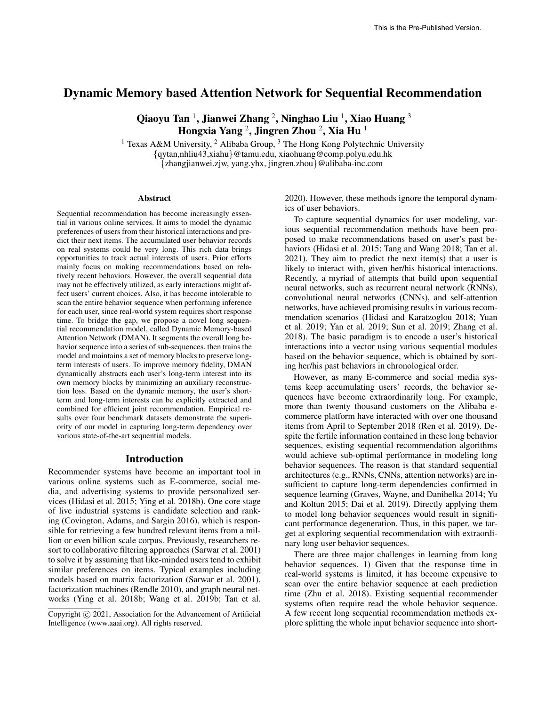# Dynamic Memory based Attention Network for Sequential Recommendation

Qiaoyu Tan  $^1$ , Jianwei Zhang  $^2$ , Ninghao Liu  $^1$ , Xiao Huang  $^3$ Hongxia Yang  $^2$ , Jingren Zhou  $^2$ , Xia Hu  $^1$ 

<sup>1</sup> Texas A&M University, <sup>2</sup> Alibaba Group, <sup>3</sup> The Hong Kong Polytechnic University {qytan,nhliu43,xiahu}@tamu.edu, xiaohuang@comp.polyu.edu.hk {zhangjianwei.zjw, yang.yhx, jingren.zhou}@alibaba-inc.com

#### Abstract

Sequential recommendation has become increasingly essential in various online services. It aims to model the dynamic preferences of users from their historical interactions and predict their next items. The accumulated user behavior records on real systems could be very long. This rich data brings opportunities to track actual interests of users. Prior efforts mainly focus on making recommendations based on relatively recent behaviors. However, the overall sequential data may not be effectively utilized, as early interactions might affect users' current choices. Also, it has become intolerable to scan the entire behavior sequence when performing inference for each user, since real-world system requires short response time. To bridge the gap, we propose a novel long sequential recommendation model, called Dynamic Memory-based Attention Network (DMAN). It segments the overall long behavior sequence into a series of sub-sequences, then trains the model and maintains a set of memory blocks to preserve longterm interests of users. To improve memory fidelity, DMAN dynamically abstracts each user's long-term interest into its own memory blocks by minimizing an auxiliary reconstruction loss. Based on the dynamic memory, the user's shortterm and long-term interests can be explicitly extracted and combined for efficient joint recommendation. Empirical results over four benchmark datasets demonstrate the superiority of our model in capturing long-term dependency over various state-of-the-art sequential models.

#### Introduction

Recommender systems have become an important tool in various online systems such as E-commerce, social media, and advertising systems to provide personalized services (Hidasi et al. 2015; Ying et al. 2018b). One core stage of live industrial systems is candidate selection and ranking (Covington, Adams, and Sargin 2016), which is responsible for retrieving a few hundred relevant items from a million or even billion scale corpus. Previously, researchers resort to collaborative filtering approaches (Sarwar et al. 2001) to solve it by assuming that like-minded users tend to exhibit similar preferences on items. Typical examples including models based on matrix factorization (Sarwar et al. 2001), factorization machines (Rendle 2010), and graph neural networks (Ying et al. 2018b; Wang et al. 2019b; Tan et al. 2020). However, these methods ignore the temporal dynamics of user behaviors.

To capture sequential dynamics for user modeling, various sequential recommendation methods have been proposed to make recommendations based on user's past behaviors (Hidasi et al. 2015; Tang and Wang 2018; Tan et al. 2021). They aim to predict the next item(s) that a user is likely to interact with, given her/his historical interactions. Recently, a myriad of attempts that build upon sequential neural networks, such as recurrent neural network (RNNs), convolutional neural networks (CNNs), and self-attention networks, have achieved promising results in various recommendation scenarios (Hidasi and Karatzoglou 2018; Yuan et al. 2019; Yan et al. 2019; Sun et al. 2019; Zhang et al. 2018). The basic paradigm is to encode a user's historical interactions into a vector using various sequential modules based on the behavior sequence, which is obtained by sorting her/his past behaviors in chronological order.

However, as many E-commerce and social media systems keep accumulating users' records, the behavior sequences have become extraordinarily long. For example, more than twenty thousand customers on the Alibaba ecommerce platform have interacted with over one thousand items from April to September 2018 (Ren et al. 2019). Despite the fertile information contained in these long behavior sequences, existing sequential recommendation algorithms would achieve sub-optimal performance in modeling long behavior sequences. The reason is that standard sequential architectures (e.g., RNNs, CNNs, attention networks) are insufficient to capture long-term dependencies confirmed in sequence learning (Graves, Wayne, and Danihelka 2014; Yu and Koltun 2015; Dai et al. 2019). Directly applying them to model long behavior sequences would result in significant performance degeneration. Thus, in this paper, we target at exploring sequential recommendation with extraordinary long user behavior sequences.

There are three major challenges in learning from long behavior sequences. 1) Given that the response time in real-world systems is limited, it has become expensive to scan over the entire behavior sequence at each prediction time (Zhu et al. 2018). Existing sequential recommender systems often require read the whole behavior sequence. A few recent long sequential recommendation methods explore splitting the whole input behavior sequence into short-

Copyright (c) 2021, Association for the Advancement of Artificial Intelligence (www.aaai.org). All rights reserved.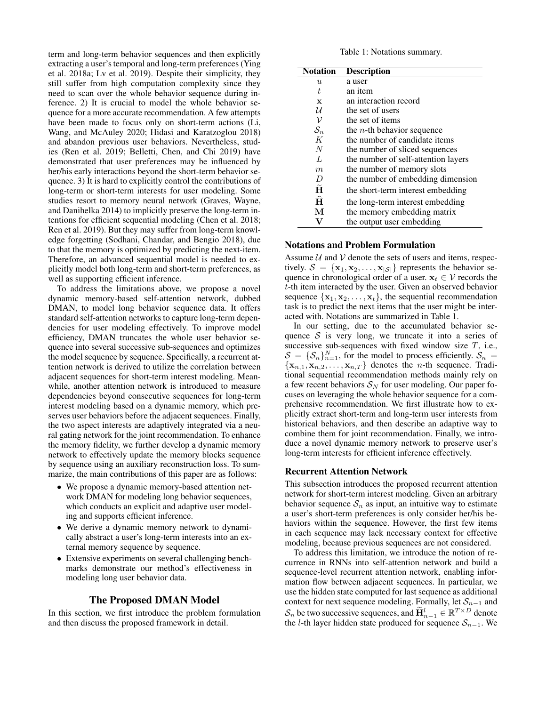term and long-term behavior sequences and then explicitly extracting a user's temporal and long-term preferences (Ying et al. 2018a; Lv et al. 2019). Despite their simplicity, they still suffer from high computation complexity since they need to scan over the whole behavior sequence during inference. 2) It is crucial to model the whole behavior sequence for a more accurate recommendation. A few attempts have been made to focus only on short-term actions (Li, Wang, and McAuley 2020; Hidasi and Karatzoglou 2018) and abandon previous user behaviors. Nevertheless, studies (Ren et al. 2019; Belletti, Chen, and Chi 2019) have demonstrated that user preferences may be influenced by her/his early interactions beyond the short-term behavior sequence. 3) It is hard to explicitly control the contributions of long-term or short-term interests for user modeling. Some studies resort to memory neural network (Graves, Wayne, and Danihelka 2014) to implicitly preserve the long-term intentions for efficient sequential modeling (Chen et al. 2018; Ren et al. 2019). But they may suffer from long-term knowledge forgetting (Sodhani, Chandar, and Bengio 2018), due to that the memory is optimized by predicting the next-item. Therefore, an advanced sequential model is needed to explicitly model both long-term and short-term preferences, as well as supporting efficient inference.

To address the limitations above, we propose a novel dynamic memory-based self-attention network, dubbed DMAN, to model long behavior sequence data. It offers standard self-attention networks to capture long-term dependencies for user modeling effectively. To improve model efficiency, DMAN truncates the whole user behavior sequence into several successive sub-sequences and optimizes the model sequence by sequence. Specifically, a recurrent attention network is derived to utilize the correlation between adjacent sequences for short-term interest modeling. Meanwhile, another attention network is introduced to measure dependencies beyond consecutive sequences for long-term interest modeling based on a dynamic memory, which preserves user behaviors before the adjacent sequences. Finally, the two aspect interests are adaptively integrated via a neural gating network for the joint recommendation. To enhance the memory fidelity, we further develop a dynamic memory network to effectively update the memory blocks sequence by sequence using an auxiliary reconstruction loss. To summarize, the main contributions of this paper are as follows:

- We propose a dynamic memory-based attention network DMAN for modeling long behavior sequences, which conducts an explicit and adaptive user modeling and supports efficient inference.
- We derive a dynamic memory network to dynamically abstract a user's long-term interests into an external memory sequence by sequence.
- Extensive experiments on several challenging benchmarks demonstrate our method's effectiveness in modeling long user behavior data.

## The Proposed DMAN Model

In this section, we first introduce the problem formulation and then discuss the proposed framework in detail.

Table 1: Notations summary.

| <b>Notation</b>     | <b>Description</b>                  |
|---------------------|-------------------------------------|
| $\boldsymbol{u}$    | a user                              |
| t.                  | an item                             |
| X                   | an interaction record               |
| U                   | the set of users                    |
| ν                   | the set of items                    |
| $\mathcal{S}_n$     | the <i>n</i> -th behavior sequence  |
| K                   | the number of candidate items       |
| $\overline{N}$      | the number of sliced sequences      |
| $\overline{L}$      | the number of self-attention layers |
| m                   | the number of memory slots          |
| D                   | the number of embedding dimension   |
| $\ddot{\mathbf{H}}$ | the short-term interest embedding   |
| $\hat{H}$           | the long-term interest embedding    |
| М                   | the memory embedding matrix         |
|                     | the output user embedding           |

## Notations and Problem Formulation

Assume  $U$  and  $V$  denote the sets of users and items, respectively.  $S = {\mathbf{x}_1, \mathbf{x}_2, ..., \mathbf{x}_{|\mathcal{S}|}}$  represents the behavior sequence in chronological order of a user.  $x_t \in V$  records the t-th item interacted by the user. Given an observed behavior sequence  $\{x_1, x_2, \ldots, x_t\}$ , the sequential recommendation task is to predict the next items that the user might be interacted with. Notations are summarized in Table 1.

In our setting, due to the accumulated behavior sequence  $S$  is very long, we truncate it into a series of successive sub-sequences with fixed window size  $T$ , i.e.,  $S = {\mathcal{S}_n}_{n=1}^N$ , for the model to process efficiently.  $S_n =$  ${x_{n,1}, x_{n,2}, \ldots, x_{n,T}}$  denotes the *n*-th sequence. Traditional sequential recommendation methods mainly rely on a few recent behaviors  $S_N$  for user modeling. Our paper focuses on leveraging the whole behavior sequence for a comprehensive recommendation. We first illustrate how to explicitly extract short-term and long-term user interests from historical behaviors, and then describe an adaptive way to combine them for joint recommendation. Finally, we introduce a novel dynamic memory network to preserve user's long-term interests for efficient inference effectively.

#### Recurrent Attention Network

This subsection introduces the proposed recurrent attention network for short-term interest modeling. Given an arbitrary behavior sequence  $S_n$  as input, an intuitive way to estimate a user's short-term preferences is only consider her/his behaviors within the sequence. However, the first few items in each sequence may lack necessary context for effective modeling, because previous sequences are not considered.

To address this limitation, we introduce the notion of recurrence in RNNs into self-attention network and build a sequence-level recurrent attention network, enabling information flow between adjacent sequences. In particular, we use the hidden state computed for last sequence as additional context for next sequence modeling. Formally, let  $S_{n-1}$  and  $S_n$  be two successive sequences, and  $\widetilde{H}_{n-1}^l \in \mathbb{R}^{T \times D}$  denote the l-th layer hidden state produced for sequence  $S_{n-1}$ . We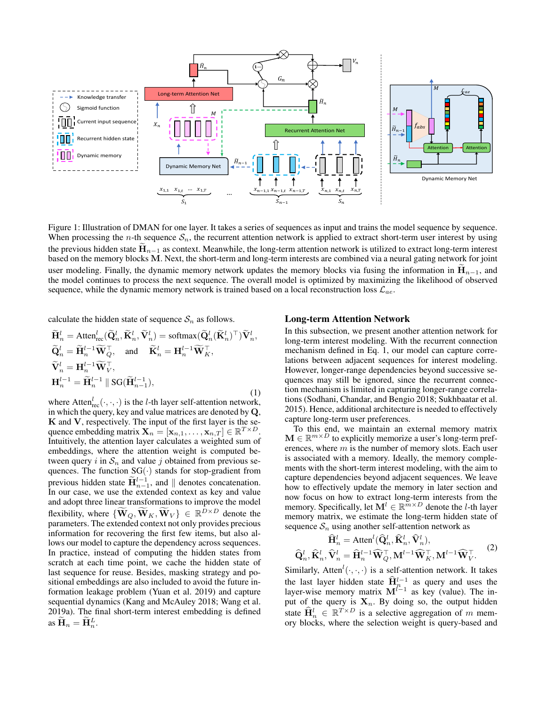

Figure 1: Illustration of DMAN for one layer. It takes a series of sequences as input and trains the model sequence by sequence. When processing the *n*-th sequence  $S_n$ , the recurrent attention network is applied to extract short-term user interest by using the previous hidden state  $\mathbf{H}_{n-1}$  as context. Meanwhile, the long-term attention network is utilized to extract long-term interest based on the memory blocks M. Next, the short-term and long-term interests are combined via a neural gating network for joint user modeling. Finally, the dynamic memory network updates the memory blocks via fusing the information in  $H_{n-1}$ , and the model continues to process the next sequence. The overall model is optimized by maximizing the likelihood of observed sequence, while the dynamic memory network is trained based on a local reconstruction loss  $\mathcal{L}_{ae}$ .

calculate the hidden state of sequence  $S_n$  as follows.

$$
\widetilde{\mathbf{H}}_{n}^{l} = \text{Atten}_{\text{rec}}^{l}(\widetilde{\mathbf{Q}}_{n}^{l}, \widetilde{\mathbf{K}}_{n}^{l}, \widetilde{\mathbf{V}}_{n}^{l}) = \text{softmax}(\widetilde{\mathbf{Q}}_{n}^{l}(\widetilde{\mathbf{K}}_{n}^{l})^{\top})\widetilde{\mathbf{V}}_{n}^{l}, \n\widetilde{\mathbf{Q}}_{n}^{l} = \widetilde{\mathbf{H}}_{n}^{l-1}\widetilde{\mathbf{W}}_{Q}^{\top}, \text{ and } \widetilde{\mathbf{K}}_{n}^{l} = \mathbf{H}_{n}^{l-1}\widetilde{\mathbf{W}}_{K}^{\top}, \n\widetilde{\mathbf{V}}_{n}^{l} = \mathbf{H}_{n}^{l-1}\widetilde{\mathbf{W}}_{V}^{\top}, \n\mathbf{H}_{n}^{l-1} = \widetilde{\mathbf{H}}_{n}^{l-1} \parallel \text{SG}(\widetilde{\mathbf{H}}_{n-1}^{l-1}),
$$
\n(1)

where Atten ${}_{\text{rec}}^l(\cdot, \cdot, \cdot)$  is the *l*-th layer self-attention network, in which the query, key and value matrices are denoted by Q,  $K$  and  $V$ , respectively. The input of the first layer is the sequence embedding matrix  $\mathbf{X}_n = [\mathbf{x}_{n,1}, \dots, \mathbf{x}_{n,T}] \in \mathbb{R}^{T \times D}$ . Intuitively, the attention layer calculates a weighted sum of embeddings, where the attention weight is computed between query i in  $S_n$  and value j obtained from previous sequences. The function  $SG(\cdot)$  stands for stop-gradient from previous hidden state  $\widetilde{H}_{n-1}^{l-1}$ , and  $\parallel$  denotes concatenation. In our case, we use the extended context as key and value and adopt three linear transformations to improve the model flexibility, where  $\{\widetilde{\mathbf{W}}_{Q}, \widetilde{\mathbf{W}}_{K}, \widetilde{\mathbf{W}}_{V}\} \in \mathbb{R}^{D \times D}$  denote the parameters. The extended context not only provides precious information for recovering the first few items, but also allows our model to capture the dependency across sequences. In practice, instead of computing the hidden states from scratch at each time point, we cache the hidden state of last sequence for reuse. Besides, masking strategy and positional embeddings are also included to avoid the future information leakage problem (Yuan et al. 2019) and capture sequential dynamics (Kang and McAuley 2018; Wang et al. 2019a). The final short-term interest embedding is defined as  $\widetilde{\mathbf{H}}_n = \widetilde{\mathbf{H}}_n^L$ .

### Long-term Attention Network

In this subsection, we present another attention network for long-term interest modeling. With the recurrent connection mechanism defined in Eq. 1, our model can capture correlations between adjacent sequences for interest modeling. However, longer-range dependencies beyond successive sequences may still be ignored, since the recurrent connection mechanism is limited in capturing longer-range correlations (Sodhani, Chandar, and Bengio 2018; Sukhbaatar et al. 2015). Hence, additional architecture is needed to effectively capture long-term user preferences.

To this end, we maintain an external memory matrix  $\mathbf{M} \in \mathbb{R}^{m \times D}$  to explicitly memorize a user's long-term preferences, where  $m$  is the number of memory slots. Each user is associated with a memory. Ideally, the memory complements with the short-term interest modeling, with the aim to capture dependencies beyond adjacent sequences. We leave how to effectively update the memory in later section and now focus on how to extract long-term interests from the memory. Specifically, let  $\mathbf{M}^l \in \mathbb{R}^{\widetilde{m} \times D}$  denote the *l*-th layer memory matrix, we estimate the long-term hidden state of sequence  $S_n$  using another self-attention network as

$$
\widehat{\mathbf{H}}_n^l = \text{Atten}^l(\widehat{\mathbf{Q}}_n^l, \widehat{\mathbf{K}}_n^l, \widehat{\mathbf{V}}_n^l),
$$
  

$$
\widehat{\mathbf{Q}}_n^l, \widehat{\mathbf{K}}_n^l, \widehat{\mathbf{V}}_n^l = \widehat{\mathbf{H}}_n^{l-1} \widehat{\mathbf{W}}_Q^{\top}, \mathbf{M}^{l-1} \widehat{\mathbf{W}}_K^{\top}, \mathbf{M}^{l-1} \widehat{\mathbf{W}}_V^{\top}. \tag{2}
$$

Similarly, Atten<sup> $l(\cdot, \cdot, \cdot)$ </sup> is a self-attention network. It takes the last layer hidden state  $\hat{H}_n^{l-1}$  as query and uses the layer-wise memory matrix  $M^{l-1}$  as key (value). The input of the query is  $X_n$ . By doing so, the output hidden state  $\widehat{\mathbf{H}}_n^l \in \mathbb{R}^{T \times D}$  is a selective aggregation of m memory blocks, where the selection weight is query-based and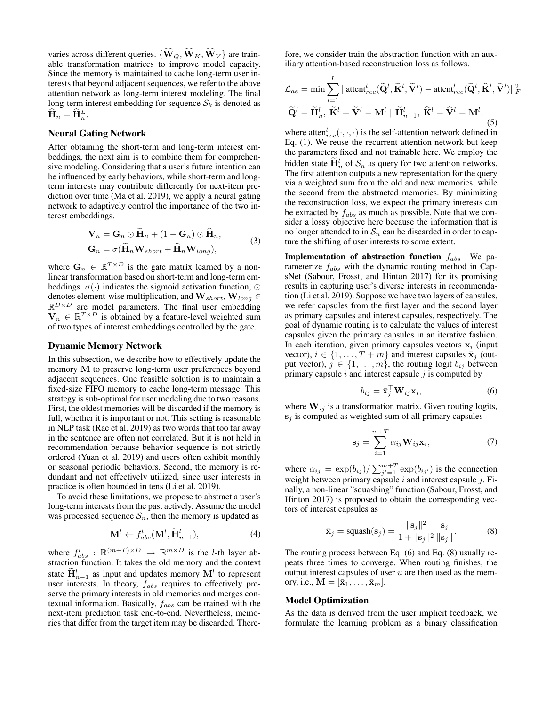varies across different queries.  $\{\widehat{\mathbf{W}}_{Q}, \widehat{\mathbf{W}}_{K}, \widehat{\mathbf{W}}_{V}\}\$ are trainable transformation matrices to improve model capacity. Since the memory is maintained to cache long-term user interests that beyond adjacent sequences, we refer to the above attention network as long-term interest modeling. The final long-term interest embedding for sequence  $S_k$  is denoted as  $\hat{\mathbf{H}}_n = \hat{\mathbf{H}}_n^L.$ 

#### Neural Gating Network

After obtaining the short-term and long-term interest embeddings, the next aim is to combine them for comprehensive modeling. Considering that a user's future intention can be influenced by early behaviors, while short-term and longterm interests may contribute differently for next-item prediction over time (Ma et al. 2019), we apply a neural gating network to adaptively control the importance of the two interest embeddings.

$$
\mathbf{V}_n = \mathbf{G}_n \odot \mathbf{H}_n + (1 - \mathbf{G}_n) \odot \mathbf{H}_n,
$$
  
\n
$$
\mathbf{G}_n = \sigma(\widetilde{\mathbf{H}}_n \mathbf{W}_{short} + \widehat{\mathbf{H}}_n \mathbf{W}_{long}),
$$
\n(3)

where  $\mathbf{G}_n \in \mathbb{R}^{T \times D}$  is the gate matrix learned by a nonlinear transformation based on short-term and long-term embeddings.  $\sigma(\cdot)$  indicates the sigmoid activation function,  $\odot$ denotes element-wise multiplication, and  $\mathbf{W}_{short},\mathbf{W}_{long} \in$  $\mathbb{R}^{D\times D}$  are model parameters. The final user embedding  $\mathbf{V}_n \in \mathbb{R}^{T \times D}$  is obtained by a feature-level weighted sum of two types of interest embeddings controlled by the gate.

#### Dynamic Memory Network

In this subsection, we describe how to effectively update the memory M to preserve long-term user preferences beyond adjacent sequences. One feasible solution is to maintain a fixed-size FIFO memory to cache long-term message. This strategy is sub-optimal for user modeling due to two reasons. First, the oldest memories will be discarded if the memory is full, whether it is important or not. This setting is reasonable in NLP task (Rae et al. 2019) as two words that too far away in the sentence are often not correlated. But it is not held in recommendation because behavior sequence is not strictly ordered (Yuan et al. 2019) and users often exhibit monthly or seasonal periodic behaviors. Second, the memory is redundant and not effectively utilized, since user interests in practice is often bounded in tens (Li et al. 2019).

To avoid these limitations, we propose to abstract a user's long-term interests from the past actively. Assume the model was processed sequence  $S_n$ , then the memory is updated as

$$
\mathbf{M}^{l} \leftarrow f_{abs}^{l}(\mathbf{M}^{l}, \widetilde{\mathbf{H}}_{n-1}^{l}),
$$
\n(4)

where  $f_{abs}^l : \mathbb{R}^{(m+T) \times D} \rightarrow \mathbb{R}^{m \times D}$  is the *l*-th layer abstraction function. It takes the old memory and the context state  $\widetilde{\mathbf{H}}_{n-1}^l$  as input and updates memory  $\mathbf{M}^l$  to represent user interests. In theory,  $f_{abs}$  requires to effectively preserve the primary interests in old memories and merges contextual information. Basically,  $f_{abs}$  can be trained with the next-item prediction task end-to-end. Nevertheless, memories that differ from the target item may be discarded. There-

fore, we consider train the abstraction function with an auxiliary attention-based reconstruction loss as follows.

$$
\mathcal{L}_{ae} = \min \sum_{l=1}^{L} ||\text{attent}_{rec}^l(\widetilde{\mathbf{Q}}^l, \widetilde{\mathbf{K}}^l, \widetilde{\mathbf{V}}^l) - \text{attent}_{rec}^l(\widetilde{\mathbf{Q}}^l, \widehat{\mathbf{K}}^l, \widehat{\mathbf{V}}^l) ||_F^2
$$

$$
\widetilde{\mathbf{Q}}^l = \widetilde{\mathbf{H}}_n^l, \ \widetilde{\mathbf{K}}^l = \widetilde{\mathbf{V}}^l = \mathbf{M}^l || \widetilde{\mathbf{H}}_{n-1}^l, \ \widehat{\mathbf{K}}^l = \widehat{\mathbf{V}}^l = \mathbf{M}^l,
$$
(5)

where atten $_{rec}^{l}(\cdot, \cdot, \cdot)$  is the self-attention network defined in Eq. (1). We reuse the recurrent attention network but keep the parameters fixed and not trainable here. We employ the hidden state  $\tilde{H}_n^l$  of  $S_n$  as query for two attention networks. The first attention outputs a new representation for the query via a weighted sum from the old and new memories, while the second from the abstracted memories. By minimizing the reconstruction loss, we expect the primary interests can be extracted by  $f_{abs}$  as much as possible. Note that we consider a lossy objective here because the information that is no longer attended to in  $S_n$  can be discarded in order to capture the shifting of user interests to some extent.

**Implementation of abstraction function**  $f_{abs}$  We parameterize  $f_{abs}$  with the dynamic routing method in CapsNet (Sabour, Frosst, and Hinton 2017) for its promising results in capturing user's diverse interests in recommendation (Li et al. 2019). Suppose we have two layers of capsules, we refer capsules from the first layer and the second layer as primary capsules and interest capsules, respectively. The goal of dynamic routing is to calculate the values of interest capsules given the primary capsules in an iterative fashion. In each iteration, given primary capsules vectors  $x_i$  (input vector),  $i \in \{1, ..., T + m\}$  and interest capsules  $\bar{\mathbf{x}}_i$  (output vector),  $j \in \{1, \ldots, m\}$ , the routing logit  $b_{ij}$  between primary capsule  $i$  and interest capsule  $j$  is computed by

$$
b_{ij} = \bar{\mathbf{x}}_j^{\top} \mathbf{W}_{ij} \mathbf{x}_i, \tag{6}
$$

where  $W_{ij}$  is a transformation matrix. Given routing logits,  $s_i$  is computed as weighted sum of all primary capsules

$$
\mathbf{s}_{j} = \sum_{i=1}^{m+T} \alpha_{ij} \mathbf{W}_{ij} \mathbf{x}_{i},
$$
 (7)

where  $\alpha_{ij} = \exp(b_{ij}) / \sum_{j'=1}^{m+T} \exp(b_{ij'})$  is the connection weight between primary capsule  $i$  and interest capsule  $j$ . Finally, a non-linear "squashing" function (Sabour, Frosst, and Hinton 2017) is proposed to obtain the corresponding vectors of interest capsules as

$$
\bar{\mathbf{x}}_j = \text{squash}(\mathbf{s}_j) = \frac{\|\mathbf{s}_j\|^2}{1 + \|\mathbf{s}_j\|^2} \frac{\mathbf{s}_j}{\|\mathbf{s}_j\|}.
$$
 (8)

The routing process between Eq. (6) and Eq. (8) usually repeats three times to converge. When routing finishes, the output interest capsules of user  $u$  are then used as the memory, i.e.,  $\mathbf{M} = [\bar{\mathbf{x}}_1, \dots, \bar{\mathbf{x}}_m].$ 

#### Model Optimization

As the data is derived from the user implicit feedback, we formulate the learning problem as a binary classification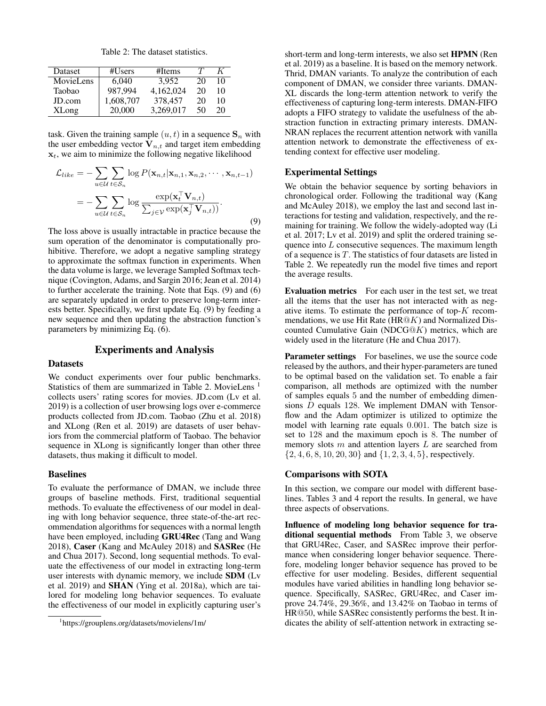Table 2: The dataset statistics.

| Dataset      | #Users    | #Items    |    |    |
|--------------|-----------|-----------|----|----|
| MovieLens    | 6.040     | 3.952     | 20 | 10 |
| Taobao       | 987.994   | 4,162,024 | 20 | 10 |
| JD.com       | 1,608,707 | 378,457   | 20 | 10 |
| <b>XLong</b> | 20,000    | 3,269,017 | 50 | 20 |

task. Given the training sample  $(u, t)$  in a sequence  $S_n$  with the user embedding vector  $V_{n,t}$  and target item embedding  $x_t$ , we aim to minimize the following negative likelihood

$$
\mathcal{L}_{like} = -\sum_{u \in \mathcal{U}} \sum_{t \in \mathcal{S}_n} \log P(\mathbf{x}_{n,t} | \mathbf{x}_{n,1}, \mathbf{x}_{n,2}, \cdots, \mathbf{x}_{n,t-1})
$$

$$
= -\sum_{u \in \mathcal{U}} \sum_{t \in \mathcal{S}_n} \log \frac{\exp(\mathbf{x}_t^{\top} \mathbf{V}_{n,t})}{\sum_{j \in \mathcal{V}} \exp(\mathbf{x}_j^{\top} \mathbf{V}_{n,t}))}.
$$
(9)

The loss above is usually intractable in practice because the sum operation of the denominator is computationally prohibitive. Therefore, we adopt a negative sampling strategy to approximate the softmax function in experiments. When the data volume is large, we leverage Sampled Softmax technique (Covington, Adams, and Sargin 2016; Jean et al. 2014) to further accelerate the training. Note that Eqs. (9) and (6) are separately updated in order to preserve long-term interests better. Specifically, we first update Eq. (9) by feeding a new sequence and then updating the abstraction function's parameters by minimizing Eq. (6).

### Experiments and Analysis

#### Datasets

We conduct experiments over four public benchmarks. Statistics of them are summarized in Table 2. MovieLens <sup>1</sup> collects users' rating scores for movies. JD.com (Lv et al. 2019) is a collection of user browsing logs over e-commerce products collected from JD.com. Taobao (Zhu et al. 2018) and XLong (Ren et al. 2019) are datasets of user behaviors from the commercial platform of Taobao. The behavior sequence in XLong is significantly longer than other three datasets, thus making it difficult to model.

#### Baselines

To evaluate the performance of DMAN, we include three groups of baseline methods. First, traditional sequential methods. To evaluate the effectiveness of our model in dealing with long behavior sequence, three state-of-the-art recommendation algorithms for sequences with a normal length have been employed, including GRU4Rec (Tang and Wang 2018), Caser (Kang and McAuley 2018) and SASRec (He and Chua 2017). Second, long sequential methods. To evaluate the effectiveness of our model in extracting long-term user interests with dynamic memory, we include SDM (Lv et al. 2019) and SHAN (Ying et al. 2018a), which are tailored for modeling long behavior sequences. To evaluate the effectiveness of our model in explicitly capturing user's

short-term and long-term interests, we also set HPMN (Ren et al. 2019) as a baseline. It is based on the memory network. Thrid, DMAN variants. To analyze the contribution of each component of DMAN, we consider three variants. DMAN-XL discards the long-term attention network to verify the effectiveness of capturing long-term interests. DMAN-FIFO adopts a FIFO strategy to validate the usefulness of the abstraction function in extracting primary interests. DMAN-NRAN replaces the recurrent attention network with vanilla attention network to demonstrate the effectiveness of extending context for effective user modeling.

### Experimental Settings

We obtain the behavior sequence by sorting behaviors in chronological order. Following the traditional way (Kang and McAuley 2018), we employ the last and second last interactions for testing and validation, respectively, and the remaining for training. We follow the widely-adopted way (Li et al. 2017; Lv et al. 2019) and split the ordered training sequence into L consecutive sequences. The maximum length of a sequence is  $T$ . The statistics of four datasets are listed in Table 2. We repeatedly run the model five times and report the average results.

Evaluation metrics For each user in the test set, we treat all the items that the user has not interacted with as negative items. To estimate the performance of top-K recommendations, we use Hit Rate  $(HR@K)$  and Normalized Discounted Cumulative Gain (NDCG $@K$ ) metrics, which are widely used in the literature (He and Chua 2017).

Parameter settings For baselines, we use the source code released by the authors, and their hyper-parameters are tuned to be optimal based on the validation set. To enable a fair comparison, all methods are optimized with the number of samples equals 5 and the number of embedding dimensions D equals 128. We implement DMAN with Tensorflow and the Adam optimizer is utilized to optimize the model with learning rate equals 0.001. The batch size is set to 128 and the maximum epoch is 8. The number of memory slots  $m$  and attention layers  $L$  are searched from {2, 4, 6, 8, 10, 20, 30} and {1, 2, 3, 4, 5}, respectively.

#### Comparisons with SOTA

In this section, we compare our model with different baselines. Tables 3 and 4 report the results. In general, we have three aspects of observations.

Influence of modeling long behavior sequence for traditional sequential methods From Table 3, we observe that GRU4Rec, Caser, and SASRec improve their performance when considering longer behavior sequence. Therefore, modeling longer behavior sequence has proved to be effective for user modeling. Besides, different sequential modules have varied abilities in handling long behavior sequence. Specifically, SASRec, GRU4Rec, and Caser improve 24.74%, 29.36%, and 13.42% on Taobao in terms of HR@50, while SASRec consistently performs the best. It indicates the ability of self-attention network in extracting se-

<sup>1</sup> https://grouplens.org/datasets/movielens/1m/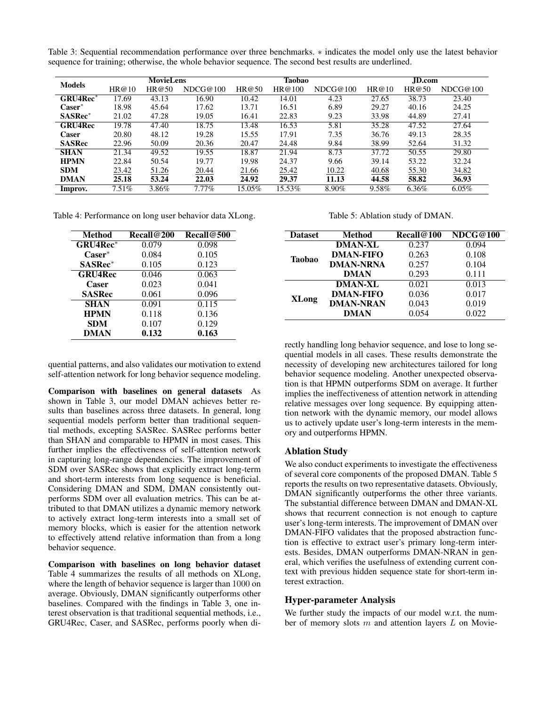Table 3: Sequential recommendation performance over three benchmarks. ∗ indicates the model only use the latest behavior sequence for training; otherwise, the whole behavior sequence. The second best results are underlined.

| <b>Models</b>  | <b>MovieLens</b> |       |          | <b>Taobao</b> |        |          | JD.com |       |          |
|----------------|------------------|-------|----------|---------------|--------|----------|--------|-------|----------|
|                | HR@10            | HR@50 | NDCG@100 | HR@50         | HR@100 | NDCG@100 | HR@10  | HR@50 | NDCG@100 |
| GRU4Rec*       | 17.69            | 43.13 | 16.90    | 10.42         | 14.01  | 4.23     | 27.65  | 38.73 | 23.40    |
| $\bf Case r^*$ | 18.98            | 45.64 | 17.62    | 13.71         | 16.51  | 6.89     | 29.27  | 40.16 | 24.25    |
| SASRec*        | 21.02            | 47.28 | 19.05    | 16.41         | 22.83  | 9.23     | 33.98  | 44.89 | 27.41    |
| <b>GRU4Rec</b> | 19.78            | 47.40 | 18.75    | 13.48         | 16.53  | 5.81     | 35.28  | 47.52 | 27.64    |
| Caser          | 20.80            | 48.12 | 19.28    | 15.55         | 17.91  | 7.35     | 36.76  | 49.13 | 28.35    |
| <b>SASRec</b>  | 22.96            | 50.09 | 20.36    | 20.47         | 24.48  | 9.84     | 38.99  | 52.64 | 31.32    |
| <b>SHAN</b>    | 21.34            | 49.52 | 19.55    | 18.87         | 21.94  | 8.73     | 37.72  | 50.55 | 29.80    |
| <b>HPMN</b>    | 22.84            | 50.54 | 19.77    | 19.98         | 24.37  | 9.66     | 39.14  | 53.22 | 32.24    |
| <b>SDM</b>     | 23.42            | 51.26 | 20.44    | 21.66         | 25.42  | 10.22    | 40.68  | 55.30 | 34.82    |
| <b>DMAN</b>    | 25.18            | 53.24 | 22.03    | 24.92         | 29.37  | 11.13    | 44.58  | 58.82 | 36.93    |
| Improv.        | $7.51\%$         | 3.86% | $7.77\%$ | 15.05%        | 15.53% | 8.90%    | 9.58%  | 6.36% | $6.05\%$ |

Table 4: Performance on long user behavior data XLong.

| <b>Method</b>    | Recall@200 | Recall@500         |
|------------------|------------|--------------------|
| <b>GRU4Rec*</b>  | 0.079      | 0.098              |
| $\text{Caser}^*$ | 0.084      | 0.105              |
| <b>SASRec*</b>   | 0.105      | 0.123              |
| <b>GRU4Rec</b>   | 0.046      | 0.063              |
| Caser            | 0.023      | 0.041              |
| <b>SASRec</b>    | 0.061      | 0.096              |
| <b>SHAN</b>      | 0.091      | $\overline{0.115}$ |
| <b>HPMN</b>      | 0.118      | 0.136              |
| <b>SDM</b>       | 0.107      | 0.129              |
| <b>DMAN</b>      | 0.132      | 0.163              |

quential patterns, and also validates our motivation to extend self-attention network for long behavior sequence modeling.

Comparison with baselines on general datasets As shown in Table 3, our model DMAN achieves better results than baselines across three datasets. In general, long sequential models perform better than traditional sequential methods, excepting SASRec. SASRec performs better than SHAN and comparable to HPMN in most cases. This further implies the effectiveness of self-attention network in capturing long-range dependencies. The improvement of SDM over SASRec shows that explicitly extract long-term and short-term interests from long sequence is beneficial. Considering DMAN and SDM, DMAN consistently outperforms SDM over all evaluation metrics. This can be attributed to that DMAN utilizes a dynamic memory network to actively extract long-term interests into a small set of memory blocks, which is easier for the attention network to effectively attend relative information than from a long behavior sequence.

Comparison with baselines on long behavior dataset Table 4 summarizes the results of all methods on XLong, where the length of behavior sequence is larger than 1000 on average. Obviously, DMAN significantly outperforms other baselines. Compared with the findings in Table 3, one interest observation is that traditional sequential methods, i.e., GRU4Rec, Caser, and SASRec, performs poorly when diTable 5: Ablation study of DMAN.

| <b>Dataset</b> | <b>Method</b>    | Recall@100 | NDCG@100 |
|----------------|------------------|------------|----------|
| <b>Taobao</b>  | <b>DMAN-XL</b>   | 0.237      | 0.094    |
|                | <b>DMAN-FIFO</b> | 0.263      | 0.108    |
|                | <b>DMAN-NRNA</b> | 0.257      | 0.104    |
|                | DMAN             | 0.293      | 0.111    |
| <b>XLong</b>   | <b>DMAN-XL</b>   | 0.021      | 0.013    |
|                | <b>DMAN-FIFO</b> | 0.036      | 0.017    |
|                | <b>DMAN-NRAN</b> | 0.043      | 0.019    |
|                | DMAN             | 0.054      | 0.022    |

rectly handling long behavior sequence, and lose to long sequential models in all cases. These results demonstrate the necessity of developing new architectures tailored for long behavior sequence modeling. Another unexpected observation is that HPMN outperforms SDM on average. It further implies the ineffectiveness of attention network in attending relative messages over long sequence. By equipping attention network with the dynamic memory, our model allows us to actively update user's long-term interests in the memory and outperforms HPMN.

## Ablation Study

We also conduct experiments to investigate the effectiveness of several core components of the proposed DMAN. Table 5 reports the results on two representative datasets. Obviously, DMAN significantly outperforms the other three variants. The substantial difference between DMAN and DMAN-XL shows that recurrent connection is not enough to capture user's long-term interests. The improvement of DMAN over DMAN-FIFO validates that the proposed abstraction function is effective to extract user's primary long-term interests. Besides, DMAN outperforms DMAN-NRAN in general, which verifies the usefulness of extending current context with previous hidden sequence state for short-term interest extraction.

### Hyper-parameter Analysis

We further study the impacts of our model w.r.t. the number of memory slots  $m$  and attention layers  $L$  on Movie-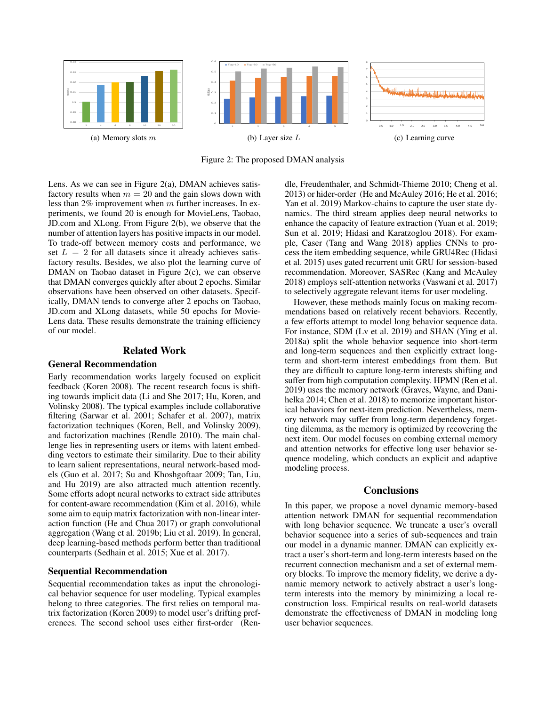

Figure 2: The proposed DMAN analysis

Lens. As we can see in Figure 2(a), DMAN achieves satisfactory results when  $m = 20$  and the gain slows down with less than 2% improvement when m further increases. In experiments, we found 20 is enough for MovieLens, Taobao, JD.com and XLong. From Figure 2(b), we observe that the number of attention layers has positive impacts in our model. To trade-off between memory costs and performance, we set  $L = 2$  for all datasets since it already achieves satisfactory results. Besides, we also plot the learning curve of DMAN on Taobao dataset in Figure 2(c), we can observe that DMAN converges quickly after about 2 epochs. Similar observations have been observed on other datasets. Specifically, DMAN tends to converge after 2 epochs on Taobao, JD.com and XLong datasets, while 50 epochs for Movie-Lens data. These results demonstrate the training efficiency of our model.

#### Related Work

#### General Recommendation

Early recommendation works largely focused on explicit feedback (Koren 2008). The recent research focus is shifting towards implicit data (Li and She 2017; Hu, Koren, and Volinsky 2008). The typical examples include collaborative filtering (Sarwar et al. 2001; Schafer et al. 2007), matrix factorization techniques (Koren, Bell, and Volinsky 2009), and factorization machines (Rendle 2010). The main challenge lies in representing users or items with latent embedding vectors to estimate their similarity. Due to their ability to learn salient representations, neural network-based models (Guo et al. 2017; Su and Khoshgoftaar 2009; Tan, Liu, and Hu 2019) are also attracted much attention recently. Some efforts adopt neural networks to extract side attributes for content-aware recommendation (Kim et al. 2016), while some aim to equip matrix factorization with non-linear interaction function (He and Chua 2017) or graph convolutional aggregation (Wang et al. 2019b; Liu et al. 2019). In general, deep learning-based methods perform better than traditional counterparts (Sedhain et al. 2015; Xue et al. 2017).

### Sequential Recommendation

Sequential recommendation takes as input the chronological behavior sequence for user modeling. Typical examples belong to three categories. The first relies on temporal matrix factorization (Koren 2009) to model user's drifting preferences. The second school uses either first-order (Rendle, Freudenthaler, and Schmidt-Thieme 2010; Cheng et al. 2013) or hider-order (He and McAuley 2016; He et al. 2016; Yan et al. 2019) Markov-chains to capture the user state dynamics. The third stream applies deep neural networks to enhance the capacity of feature extraction (Yuan et al. 2019; Sun et al. 2019; Hidasi and Karatzoglou 2018). For example, Caser (Tang and Wang 2018) applies CNNs to process the item embedding sequence, while GRU4Rec (Hidasi et al. 2015) uses gated recurrent unit GRU for session-based recommendation. Moreover, SASRec (Kang and McAuley 2018) employs self-attention networks (Vaswani et al. 2017) to selectively aggregate relevant items for user modeling.

However, these methods mainly focus on making recommendations based on relatively recent behaviors. Recently, a few efforts attempt to model long behavior sequence data. For instance, SDM (Lv et al. 2019) and SHAN (Ying et al. 2018a) split the whole behavior sequence into short-term and long-term sequences and then explicitly extract longterm and short-term interest embeddings from them. But they are difficult to capture long-term interests shifting and suffer from high computation complexity. HPMN (Ren et al. 2019) uses the memory network (Graves, Wayne, and Danihelka 2014; Chen et al. 2018) to memorize important historical behaviors for next-item prediction. Nevertheless, memory network may suffer from long-term dependency forgetting dilemma, as the memory is optimized by recovering the next item. Our model focuses on combing external memory and attention networks for effective long user behavior sequence modeling, which conducts an explicit and adaptive modeling process.

## **Conclusions**

In this paper, we propose a novel dynamic memory-based attention network DMAN for sequential recommendation with long behavior sequence. We truncate a user's overall behavior sequence into a series of sub-sequences and train our model in a dynamic manner. DMAN can explicitly extract a user's short-term and long-term interests based on the recurrent connection mechanism and a set of external memory blocks. To improve the memory fidelity, we derive a dynamic memory network to actively abstract a user's longterm interests into the memory by minimizing a local reconstruction loss. Empirical results on real-world datasets demonstrate the effectiveness of DMAN in modeling long user behavior sequences.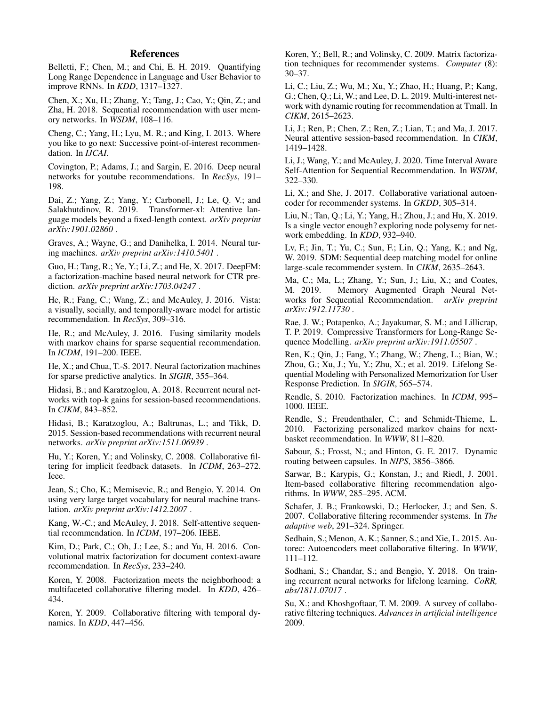## References

Belletti, F.; Chen, M.; and Chi, E. H. 2019. Quantifying Long Range Dependence in Language and User Behavior to improve RNNs. In *KDD*, 1317–1327.

Chen, X.; Xu, H.; Zhang, Y.; Tang, J.; Cao, Y.; Qin, Z.; and Zha, H. 2018. Sequential recommendation with user memory networks. In *WSDM*, 108–116.

Cheng, C.; Yang, H.; Lyu, M. R.; and King, I. 2013. Where you like to go next: Successive point-of-interest recommendation. In *IJCAI*.

Covington, P.; Adams, J.; and Sargin, E. 2016. Deep neural networks for youtube recommendations. In *RecSys*, 191– 198.

Dai, Z.; Yang, Z.; Yang, Y.; Carbonell, J.; Le, Q. V.; and Salakhutdinov, R. 2019. Transformer-xl: Attentive language models beyond a fixed-length context. *arXiv preprint arXiv:1901.02860* .

Graves, A.; Wayne, G.; and Danihelka, I. 2014. Neural turing machines. *arXiv preprint arXiv:1410.5401* .

Guo, H.; Tang, R.; Ye, Y.; Li, Z.; and He, X. 2017. DeepFM: a factorization-machine based neural network for CTR prediction. *arXiv preprint arXiv:1703.04247* .

He, R.; Fang, C.; Wang, Z.; and McAuley, J. 2016. Vista: a visually, socially, and temporally-aware model for artistic recommendation. In *RecSys*, 309–316.

He, R.; and McAuley, J. 2016. Fusing similarity models with markov chains for sparse sequential recommendation. In *ICDM*, 191–200. IEEE.

He, X.; and Chua, T.-S. 2017. Neural factorization machines for sparse predictive analytics. In *SIGIR*, 355–364.

Hidasi, B.; and Karatzoglou, A. 2018. Recurrent neural networks with top-k gains for session-based recommendations. In *CIKM*, 843–852.

Hidasi, B.; Karatzoglou, A.; Baltrunas, L.; and Tikk, D. 2015. Session-based recommendations with recurrent neural networks. *arXiv preprint arXiv:1511.06939* .

Hu, Y.; Koren, Y.; and Volinsky, C. 2008. Collaborative filtering for implicit feedback datasets. In *ICDM*, 263–272. Ieee.

Jean, S.; Cho, K.; Memisevic, R.; and Bengio, Y. 2014. On using very large target vocabulary for neural machine translation. *arXiv preprint arXiv:1412.2007* .

Kang, W.-C.; and McAuley, J. 2018. Self-attentive sequential recommendation. In *ICDM*, 197–206. IEEE.

Kim, D.; Park, C.; Oh, J.; Lee, S.; and Yu, H. 2016. Convolutional matrix factorization for document context-aware recommendation. In *RecSys*, 233–240.

Koren, Y. 2008. Factorization meets the neighborhood: a multifaceted collaborative filtering model. In *KDD*, 426– 434.

Koren, Y. 2009. Collaborative filtering with temporal dynamics. In *KDD*, 447–456.

Koren, Y.; Bell, R.; and Volinsky, C. 2009. Matrix factorization techniques for recommender systems. *Computer* (8): 30–37.

Li, C.; Liu, Z.; Wu, M.; Xu, Y.; Zhao, H.; Huang, P.; Kang, G.; Chen, Q.; Li, W.; and Lee, D. L. 2019. Multi-interest network with dynamic routing for recommendation at Tmall. In *CIKM*, 2615–2623.

Li, J.; Ren, P.; Chen, Z.; Ren, Z.; Lian, T.; and Ma, J. 2017. Neural attentive session-based recommendation. In *CIKM*, 1419–1428.

Li, J.; Wang, Y.; and McAuley, J. 2020. Time Interval Aware Self-Attention for Sequential Recommendation. In *WSDM*, 322–330.

Li, X.; and She, J. 2017. Collaborative variational autoencoder for recommender systems. In *GKDD*, 305–314.

Liu, N.; Tan, Q.; Li, Y.; Yang, H.; Zhou, J.; and Hu, X. 2019. Is a single vector enough? exploring node polysemy for network embedding. In *KDD*, 932–940.

Lv, F.; Jin, T.; Yu, C.; Sun, F.; Lin, Q.; Yang, K.; and Ng, W. 2019. SDM: Sequential deep matching model for online large-scale recommender system. In *CIKM*, 2635–2643.

Ma, C.; Ma, L.; Zhang, Y.; Sun, J.; Liu, X.; and Coates, M. 2019. Memory Augmented Graph Neural Networks for Sequential Recommendation. *arXiv preprint arXiv:1912.11730* .

Rae, J. W.; Potapenko, A.; Jayakumar, S. M.; and Lillicrap, T. P. 2019. Compressive Transformers for Long-Range Sequence Modelling. *arXiv preprint arXiv:1911.05507* .

Ren, K.; Qin, J.; Fang, Y.; Zhang, W.; Zheng, L.; Bian, W.; Zhou, G.; Xu, J.; Yu, Y.; Zhu, X.; et al. 2019. Lifelong Sequential Modeling with Personalized Memorization for User Response Prediction. In *SIGIR*, 565–574.

Rendle, S. 2010. Factorization machines. In *ICDM*, 995– 1000. IEEE.

Rendle, S.; Freudenthaler, C.; and Schmidt-Thieme, L. 2010. Factorizing personalized markov chains for nextbasket recommendation. In *WWW*, 811–820.

Sabour, S.; Frosst, N.; and Hinton, G. E. 2017. Dynamic routing between capsules. In *NIPS*, 3856–3866.

Sarwar, B.; Karypis, G.; Konstan, J.; and Riedl, J. 2001. Item-based collaborative filtering recommendation algorithms. In *WWW*, 285–295. ACM.

Schafer, J. B.; Frankowski, D.; Herlocker, J.; and Sen, S. 2007. Collaborative filtering recommender systems. In *The adaptive web*, 291–324. Springer.

Sedhain, S.; Menon, A. K.; Sanner, S.; and Xie, L. 2015. Autorec: Autoencoders meet collaborative filtering. In *WWW*, 111–112.

Sodhani, S.; Chandar, S.; and Bengio, Y. 2018. On training recurrent neural networks for lifelong learning. *CoRR, abs/1811.07017* .

Su, X.; and Khoshgoftaar, T. M. 2009. A survey of collaborative filtering techniques. *Advances in artificial intelligence* 2009.